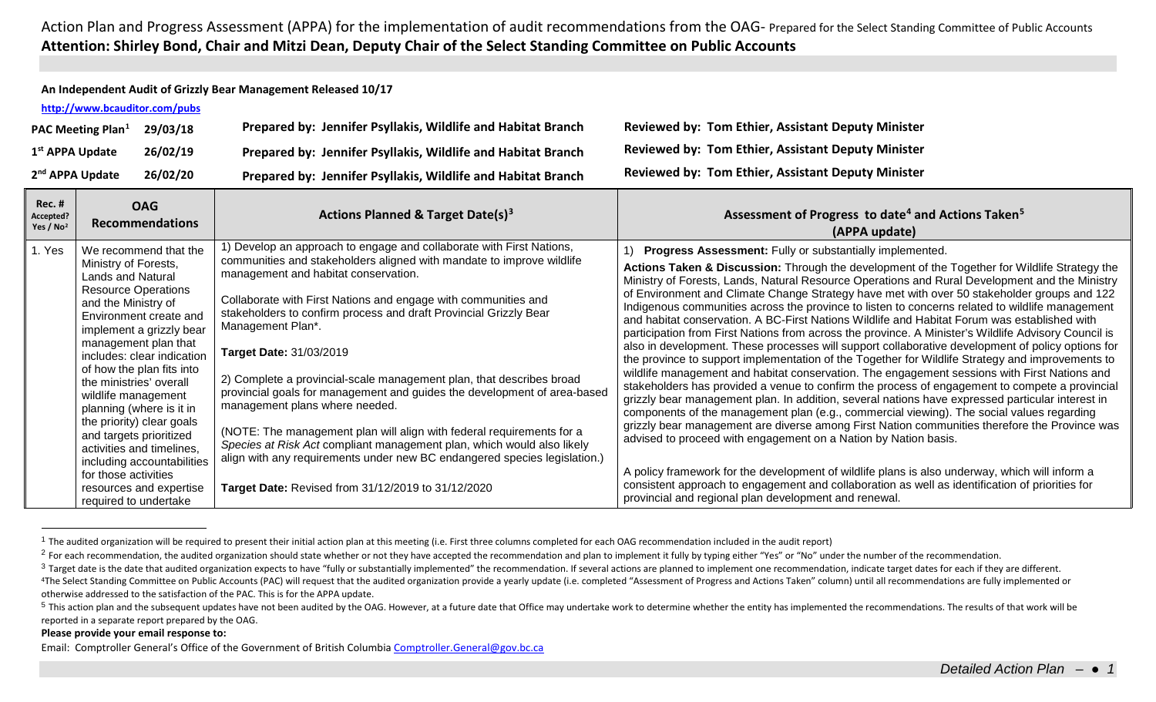<span id="page-0-4"></span><span id="page-0-3"></span><span id="page-0-2"></span><span id="page-0-1"></span><span id="page-0-0"></span>**An Independent Audit of Grizzly Bear Management Released 10/17**

**<http://www.bcauditor.com/pubs>**

| 2 <sup>nd</sup> APPA Update<br>26/02/20   | Prepared by: Jennifer Psyllakis, Wildlife and Habitat Branch | <b>Reviewed by: Tom Ethier, Assistant Deputy Minister</b> |
|-------------------------------------------|--------------------------------------------------------------|-----------------------------------------------------------|
| 26/02/19<br>1 <sup>st</sup> APPA Update   | Prepared by: Jennifer Psyllakis, Wildlife and Habitat Branch | <b>Reviewed by: Tom Ethier, Assistant Deputy Minister</b> |
| 29/03/18<br>PAC Meeting Plan <sup>1</sup> | Prepared by: Jennifer Psyllakis, Wildlife and Habitat Branch | <b>Reviewed by: Tom Ethier, Assistant Deputy Minister</b> |

| <b>Rec. #</b><br>Accepted?<br>Yes / $No2$ | <b>OAG</b><br><b>Recommendations</b>                                                                                                                                                                                                                                                                                                                                                                                                                                                                                                          | Actions Planned & Target Date(s) <sup>3</sup>                                                                                                                                                                                                                                                                                                                                                                                                                                                                                                                                                                                                                                                                                                                                                                                                                   | Assessment of Progress to date <sup>4</sup> and Actions Taken <sup>5</sup><br>(APPA update)                                                                                                                                                                                                                                                                                                                                                                                                                                                                                                                                                                                                                                                                                                                                                                                                                                                                                                                                                                                                                                                                                                                                                                                                                                                                                                                                                                                                                                                                                                                                                                                                                         |
|-------------------------------------------|-----------------------------------------------------------------------------------------------------------------------------------------------------------------------------------------------------------------------------------------------------------------------------------------------------------------------------------------------------------------------------------------------------------------------------------------------------------------------------------------------------------------------------------------------|-----------------------------------------------------------------------------------------------------------------------------------------------------------------------------------------------------------------------------------------------------------------------------------------------------------------------------------------------------------------------------------------------------------------------------------------------------------------------------------------------------------------------------------------------------------------------------------------------------------------------------------------------------------------------------------------------------------------------------------------------------------------------------------------------------------------------------------------------------------------|---------------------------------------------------------------------------------------------------------------------------------------------------------------------------------------------------------------------------------------------------------------------------------------------------------------------------------------------------------------------------------------------------------------------------------------------------------------------------------------------------------------------------------------------------------------------------------------------------------------------------------------------------------------------------------------------------------------------------------------------------------------------------------------------------------------------------------------------------------------------------------------------------------------------------------------------------------------------------------------------------------------------------------------------------------------------------------------------------------------------------------------------------------------------------------------------------------------------------------------------------------------------------------------------------------------------------------------------------------------------------------------------------------------------------------------------------------------------------------------------------------------------------------------------------------------------------------------------------------------------------------------------------------------------------------------------------------------------|
| I. Yes                                    | We recommend that the<br>Ministry of Forests,<br>Lands and Natural<br><b>Resource Operations</b><br>and the Ministry of<br>Environment create and<br>implement a grizzly bear<br>management plan that<br>includes: clear indication<br>of how the plan fits into<br>the ministries' overall<br>wildlife management<br>planning (where is it in<br>the priority) clear goals<br>and targets prioritized<br>activities and timelines,<br>including accountabilities<br>for those activities<br>resources and expertise<br>required to undertake | 1) Develop an approach to engage and collaborate with First Nations,<br>communities and stakeholders aligned with mandate to improve wildlife<br>management and habitat conservation.<br>Collaborate with First Nations and engage with communities and<br>stakeholders to confirm process and draft Provincial Grizzly Bear<br>Management Plan*.<br><b>Target Date: 31/03/2019</b><br>2) Complete a provincial-scale management plan, that describes broad<br>provincial goals for management and guides the development of area-based<br>management plans where needed.<br>(NOTE: The management plan will align with federal requirements for a<br>Species at Risk Act compliant management plan, which would also likely<br>align with any requirements under new BC endangered species legislation.)<br>Target Date: Revised from 31/12/2019 to 31/12/2020 | Progress Assessment: Fully or substantially implemented.<br>Actions Taken & Discussion: Through the development of the Together for Wildlife Strategy the<br>Ministry of Forests, Lands, Natural Resource Operations and Rural Development and the Ministry<br>of Environment and Climate Change Strategy have met with over 50 stakeholder groups and 122<br>Indigenous communities across the province to listen to concerns related to wildlife management<br>and habitat conservation. A BC-First Nations Wildlife and Habitat Forum was established with<br>participation from First Nations from across the province. A Minister's Wildlife Advisory Council is<br>also in development. These processes will support collaborative development of policy options for<br>the province to support implementation of the Together for Wildlife Strategy and improvements to<br>wildlife management and habitat conservation. The engagement sessions with First Nations and<br>stakeholders has provided a venue to confirm the process of engagement to compete a provincial<br>grizzly bear management plan. In addition, several nations have expressed particular interest in<br>components of the management plan (e.g., commercial viewing). The social values regarding<br>grizzly bear management are diverse among First Nation communities therefore the Province was<br>advised to proceed with engagement on a Nation by Nation basis.<br>A policy framework for the development of wildlife plans is also underway, which will inform a<br>consistent approach to engagement and collaboration as well as identification of priorities for<br>provincial and regional plan development and renewal. |

 $1$  The audited organization will be required to present their initial action plan at this meeting (i.e. First three columns completed for each OAG recommendation included in the audit report)

otherwise addressed to the satisfaction of the PAC. This is for the APPA update.

## **Please provide your email response to:**

Email: Comptroller General's Office of the Government of British Columbi[a Comptroller.General@gov.bc.ca](mailto:Comptroller.General@gov.bc.ca)

<sup>&</sup>lt;sup>2</sup> For each recommendation, the audited organization should state whether or not they have accepted the recommendation and plan to implement it fully by typing either "Yes" or "No" under the number of the recommendation.

<sup>&</sup>lt;sup>3</sup> Target date is the date that audited organization expects to have "fully or substantially implemented" the recommendation. If several actions are planned to implement one recommendation, indicate target dates for each <sup>4</sup>The Select Standing Committee on Public Accounts (PAC) will request that the audited organization provide a yearly update (i.e. completed "Assessment of Progress and Actions Taken" column) until all recommendations are

<sup>&</sup>lt;sup>5</sup> This action plan and the subsequent updates have not been audited by the OAG. However, at a future date that Office may undertake work to determine whether the entity has implemented the recommendations. The results of reported in a separate report prepared by the OAG.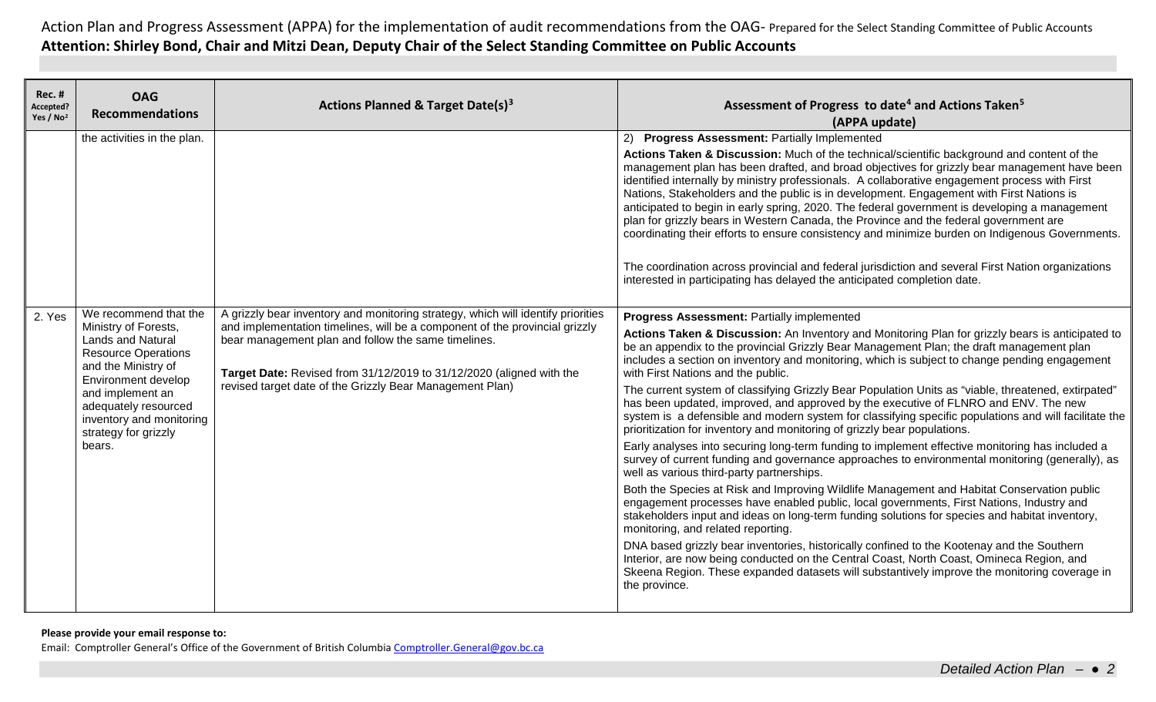| <b>Rec. #</b><br>Accepted?<br>Yes / No <sup>2</sup> | <b>OAG</b><br><b>Recommendations</b>                                                                                                                                                                                                                     | <b>Actions Planned &amp; Target Date(s)<sup>3</sup></b>                                                                                                                                                                                                                                                                                                    | Assessment of Progress to date <sup>4</sup> and Actions Taken <sup>5</sup><br>(APPA update)                                                                                                                                                                                                                                                                                                                                                                                                                                                                                                                                                                                                                                                                                                                                                                                                                                                                                                                                                                                                                                                                                                                                                                                                                                                                                                                                                                                                                                                                                                                                                                                 |
|-----------------------------------------------------|----------------------------------------------------------------------------------------------------------------------------------------------------------------------------------------------------------------------------------------------------------|------------------------------------------------------------------------------------------------------------------------------------------------------------------------------------------------------------------------------------------------------------------------------------------------------------------------------------------------------------|-----------------------------------------------------------------------------------------------------------------------------------------------------------------------------------------------------------------------------------------------------------------------------------------------------------------------------------------------------------------------------------------------------------------------------------------------------------------------------------------------------------------------------------------------------------------------------------------------------------------------------------------------------------------------------------------------------------------------------------------------------------------------------------------------------------------------------------------------------------------------------------------------------------------------------------------------------------------------------------------------------------------------------------------------------------------------------------------------------------------------------------------------------------------------------------------------------------------------------------------------------------------------------------------------------------------------------------------------------------------------------------------------------------------------------------------------------------------------------------------------------------------------------------------------------------------------------------------------------------------------------------------------------------------------------|
|                                                     | the activities in the plan.                                                                                                                                                                                                                              |                                                                                                                                                                                                                                                                                                                                                            | 2) Progress Assessment: Partially Implemented<br>Actions Taken & Discussion: Much of the technical/scientific background and content of the<br>management plan has been drafted, and broad objectives for grizzly bear management have been<br>identified internally by ministry professionals. A collaborative engagement process with First<br>Nations, Stakeholders and the public is in development. Engagement with First Nations is<br>anticipated to begin in early spring, 2020. The federal government is developing a management<br>plan for grizzly bears in Western Canada, the Province and the federal government are<br>coordinating their efforts to ensure consistency and minimize burden on Indigenous Governments.<br>The coordination across provincial and federal jurisdiction and several First Nation organizations<br>interested in participating has delayed the anticipated completion date.                                                                                                                                                                                                                                                                                                                                                                                                                                                                                                                                                                                                                                                                                                                                                    |
| 2. Yes                                              | We recommend that the<br>Ministry of Forests,<br>Lands and Natural<br><b>Resource Operations</b><br>and the Ministry of<br>Environment develop<br>and implement an<br>adequately resourced<br>inventory and monitoring<br>strategy for grizzly<br>bears. | A grizzly bear inventory and monitoring strategy, which will identify priorities<br>and implementation timelines, will be a component of the provincial grizzly<br>bear management plan and follow the same timelines.<br>Target Date: Revised from 31/12/2019 to 31/12/2020 (aligned with the<br>revised target date of the Grizzly Bear Management Plan) | <b>Progress Assessment: Partially implemented</b><br>Actions Taken & Discussion: An Inventory and Monitoring Plan for grizzly bears is anticipated to<br>be an appendix to the provincial Grizzly Bear Management Plan; the draft management plan<br>includes a section on inventory and monitoring, which is subject to change pending engagement<br>with First Nations and the public.<br>The current system of classifying Grizzly Bear Population Units as "viable, threatened, extirpated"<br>has been updated, improved, and approved by the executive of FLNRO and ENV. The new<br>system is a defensible and modern system for classifying specific populations and will facilitate the<br>prioritization for inventory and monitoring of grizzly bear populations.<br>Early analyses into securing long-term funding to implement effective monitoring has included a<br>survey of current funding and governance approaches to environmental monitoring (generally), as<br>well as various third-party partnerships.<br>Both the Species at Risk and Improving Wildlife Management and Habitat Conservation public<br>engagement processes have enabled public, local governments, First Nations, Industry and<br>stakeholders input and ideas on long-term funding solutions for species and habitat inventory,<br>monitoring, and related reporting.<br>DNA based grizzly bear inventories, historically confined to the Kootenay and the Southern<br>Interior, are now being conducted on the Central Coast, North Coast, Omineca Region, and<br>Skeena Region. These expanded datasets will substantively improve the monitoring coverage in<br>the province. |

## **Please provide your email response to:**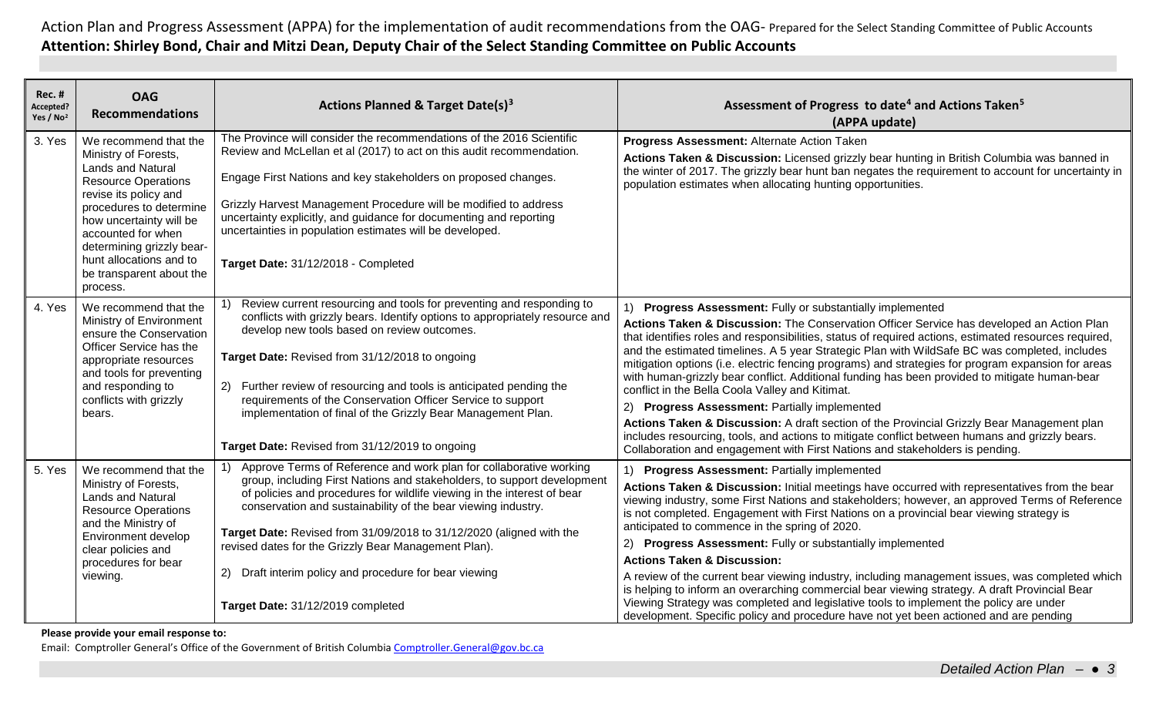| <b>Rec. #</b><br>Accepted?<br>Yes / No <sup>2</sup> | <b>OAG</b><br><b>Recommendations</b>                                                                                                                                                                                                                                                                         | <b>Actions Planned &amp; Target Date(s)</b> <sup>3</sup>                                                                                                                                                                                                                                                                                                                                                                                                                                                                           | Assessment of Progress to date <sup>4</sup> and Actions Taken <sup>5</sup><br>(APPA update)                                                                                                                                                                                                                                                                                                                                                                                                                                                                                                                                                                                                                                                                                                                                                                                                                                                                      |
|-----------------------------------------------------|--------------------------------------------------------------------------------------------------------------------------------------------------------------------------------------------------------------------------------------------------------------------------------------------------------------|------------------------------------------------------------------------------------------------------------------------------------------------------------------------------------------------------------------------------------------------------------------------------------------------------------------------------------------------------------------------------------------------------------------------------------------------------------------------------------------------------------------------------------|------------------------------------------------------------------------------------------------------------------------------------------------------------------------------------------------------------------------------------------------------------------------------------------------------------------------------------------------------------------------------------------------------------------------------------------------------------------------------------------------------------------------------------------------------------------------------------------------------------------------------------------------------------------------------------------------------------------------------------------------------------------------------------------------------------------------------------------------------------------------------------------------------------------------------------------------------------------|
| 3. Yes                                              | We recommend that the<br>Ministry of Forests,<br><b>Lands and Natural</b><br><b>Resource Operations</b><br>revise its policy and<br>procedures to determine<br>how uncertainty will be<br>accounted for when<br>determining grizzly bear-<br>hunt allocations and to<br>be transparent about the<br>process. | The Province will consider the recommendations of the 2016 Scientific<br>Review and McLellan et al (2017) to act on this audit recommendation.<br>Engage First Nations and key stakeholders on proposed changes.<br>Grizzly Harvest Management Procedure will be modified to address<br>uncertainty explicitly, and guidance for documenting and reporting<br>uncertainties in population estimates will be developed.<br>Target Date: 31/12/2018 - Completed                                                                      | Progress Assessment: Alternate Action Taken<br>Actions Taken & Discussion: Licensed grizzly bear hunting in British Columbia was banned in<br>the winter of 2017. The grizzly bear hunt ban negates the requirement to account for uncertainty in<br>population estimates when allocating hunting opportunities.                                                                                                                                                                                                                                                                                                                                                                                                                                                                                                                                                                                                                                                 |
| 4. Yes                                              | We recommend that the<br>Ministry of Environment<br>ensure the Conservation<br>Officer Service has the<br>appropriate resources<br>and tools for preventing<br>and responding to<br>conflicts with grizzly<br>bears.                                                                                         | Review current resourcing and tools for preventing and responding to<br>conflicts with grizzly bears. Identify options to appropriately resource and<br>develop new tools based on review outcomes.<br>Target Date: Revised from 31/12/2018 to ongoing<br>2)<br>Further review of resourcing and tools is anticipated pending the<br>requirements of the Conservation Officer Service to support<br>implementation of final of the Grizzly Bear Management Plan.<br>Target Date: Revised from 31/12/2019 to ongoing                | <b>Progress Assessment: Fully or substantially implemented</b><br>Actions Taken & Discussion: The Conservation Officer Service has developed an Action Plan<br>that identifies roles and responsibilities, status of required actions, estimated resources required,<br>and the estimated timelines. A 5 year Strategic Plan with WildSafe BC was completed, includes<br>mitigation options (i.e. electric fencing programs) and strategies for program expansion for areas<br>with human-grizzly bear conflict. Additional funding has been provided to mitigate human-bear<br>conflict in the Bella Coola Valley and Kitimat.<br>2) Progress Assessment: Partially implemented<br>Actions Taken & Discussion: A draft section of the Provincial Grizzly Bear Management plan<br>includes resourcing, tools, and actions to mitigate conflict between humans and grizzly bears.<br>Collaboration and engagement with First Nations and stakeholders is pending. |
| 5. Yes                                              | We recommend that the<br>Ministry of Forests,<br><b>Lands and Natural</b><br><b>Resource Operations</b><br>and the Ministry of<br>Environment develop<br>clear policies and<br>procedures for bear<br>viewing.                                                                                               | Approve Terms of Reference and work plan for collaborative working<br>1)<br>group, including First Nations and stakeholders, to support development<br>of policies and procedures for wildlife viewing in the interest of bear<br>conservation and sustainability of the bear viewing industry.<br>Target Date: Revised from 31/09/2018 to 31/12/2020 (aligned with the<br>revised dates for the Grizzly Bear Management Plan).<br>Draft interim policy and procedure for bear viewing<br>(2)<br>Target Date: 31/12/2019 completed | <b>Progress Assessment: Partially implemented</b><br>1)<br>Actions Taken & Discussion: Initial meetings have occurred with representatives from the bear<br>viewing industry, some First Nations and stakeholders; however, an approved Terms of Reference<br>is not completed. Engagement with First Nations on a provincial bear viewing strategy is<br>anticipated to commence in the spring of 2020.<br>2) Progress Assessment: Fully or substantially implemented<br><b>Actions Taken &amp; Discussion:</b><br>A review of the current bear viewing industry, including management issues, was completed which<br>is helping to inform an overarching commercial bear viewing strategy. A draft Provincial Bear<br>Viewing Strategy was completed and legislative tools to implement the policy are under<br>development. Specific policy and procedure have not yet been actioned and are pending                                                          |

**Please provide your email response to:**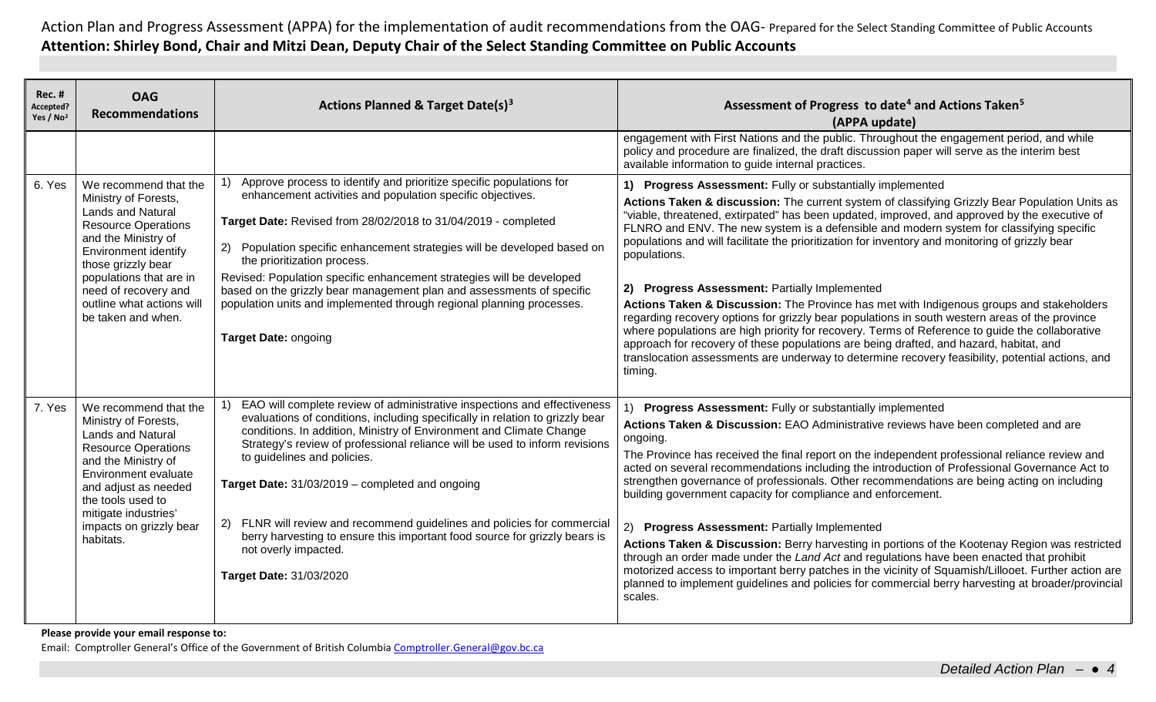| <b>Rec. #</b><br>Accepted?<br>Yes / No <sup>2</sup> | <b>OAG</b><br><b>Recommendations</b>                                                                                                                                                                                                                                               | Actions Planned & Target Date(s) <sup>3</sup>                                                                                                                                                                                                                                                                                                                                                                                                                                                                                                                                                                     | Assessment of Progress to date <sup>4</sup> and Actions Taken <sup>5</sup><br>(APPA update)                                                                                                                                                                                                                                                                                                                                                                                                                                                                                                                                                                                                                                                                                                                                                                                                                                                                                                                                             |
|-----------------------------------------------------|------------------------------------------------------------------------------------------------------------------------------------------------------------------------------------------------------------------------------------------------------------------------------------|-------------------------------------------------------------------------------------------------------------------------------------------------------------------------------------------------------------------------------------------------------------------------------------------------------------------------------------------------------------------------------------------------------------------------------------------------------------------------------------------------------------------------------------------------------------------------------------------------------------------|-----------------------------------------------------------------------------------------------------------------------------------------------------------------------------------------------------------------------------------------------------------------------------------------------------------------------------------------------------------------------------------------------------------------------------------------------------------------------------------------------------------------------------------------------------------------------------------------------------------------------------------------------------------------------------------------------------------------------------------------------------------------------------------------------------------------------------------------------------------------------------------------------------------------------------------------------------------------------------------------------------------------------------------------|
|                                                     |                                                                                                                                                                                                                                                                                    |                                                                                                                                                                                                                                                                                                                                                                                                                                                                                                                                                                                                                   | engagement with First Nations and the public. Throughout the engagement period, and while<br>policy and procedure are finalized, the draft discussion paper will serve as the interim best<br>available information to guide internal practices.                                                                                                                                                                                                                                                                                                                                                                                                                                                                                                                                                                                                                                                                                                                                                                                        |
| 6. Yes                                              | We recommend that the<br>Ministry of Forests,<br><b>Lands and Natural</b><br><b>Resource Operations</b><br>and the Ministry of<br>Environment identify<br>those grizzly bear<br>populations that are in<br>need of recovery and<br>outline what actions will<br>be taken and when. | Approve process to identify and prioritize specific populations for<br>enhancement activities and population specific objectives.<br>Target Date: Revised from 28/02/2018 to 31/04/2019 - completed<br>Population specific enhancement strategies will be developed based on<br>(2)<br>the prioritization process.<br>Revised: Population specific enhancement strategies will be developed<br>based on the grizzly bear management plan and assessments of specific<br>population units and implemented through regional planning processes.<br><b>Target Date: ongoing</b>                                      | 1) Progress Assessment: Fully or substantially implemented<br>Actions Taken & discussion: The current system of classifying Grizzly Bear Population Units as<br>"viable, threatened, extirpated" has been updated, improved, and approved by the executive of<br>FLNRO and ENV. The new system is a defensible and modern system for classifying specific<br>populations and will facilitate the prioritization for inventory and monitoring of grizzly bear<br>populations.<br>2) Progress Assessment: Partially Implemented<br>Actions Taken & Discussion: The Province has met with Indigenous groups and stakeholders<br>regarding recovery options for grizzly bear populations in south western areas of the province<br>where populations are high priority for recovery. Terms of Reference to guide the collaborative<br>approach for recovery of these populations are being drafted, and hazard, habitat, and<br>translocation assessments are underway to determine recovery feasibility, potential actions, and<br>timing. |
| 7. Yes                                              | We recommend that the<br>Ministry of Forests,<br><b>Lands and Natural</b><br><b>Resource Operations</b><br>and the Ministry of<br>Environment evaluate<br>and adjust as needed<br>the tools used to<br>mitigate industries'<br>impacts on grizzly bear<br>habitats.                | EAO will complete review of administrative inspections and effectiveness<br>evaluations of conditions, including specifically in relation to grizzly bear<br>conditions. In addition, Ministry of Environment and Climate Change<br>Strategy's review of professional reliance will be used to inform revisions<br>to guidelines and policies.<br>Target Date: 31/03/2019 - completed and ongoing<br>FLNR will review and recommend guidelines and policies for commercial<br>2)<br>berry harvesting to ensure this important food source for grizzly bears is<br>not overly impacted.<br>Target Date: 31/03/2020 | 1) Progress Assessment: Fully or substantially implemented<br>Actions Taken & Discussion: EAO Administrative reviews have been completed and are<br>ongoing.<br>The Province has received the final report on the independent professional reliance review and<br>acted on several recommendations including the introduction of Professional Governance Act to<br>strengthen governance of professionals. Other recommendations are being acting on including<br>building government capacity for compliance and enforcement.<br>2) Progress Assessment: Partially Implemented<br>Actions Taken & Discussion: Berry harvesting in portions of the Kootenay Region was restricted<br>through an order made under the Land Act and regulations have been enacted that prohibit<br>motorized access to important berry patches in the vicinity of Squamish/Lillooet. Further action are<br>planned to implement guidelines and policies for commercial berry harvesting at broader/provincial<br>scales.                                  |

**Please provide your email response to:**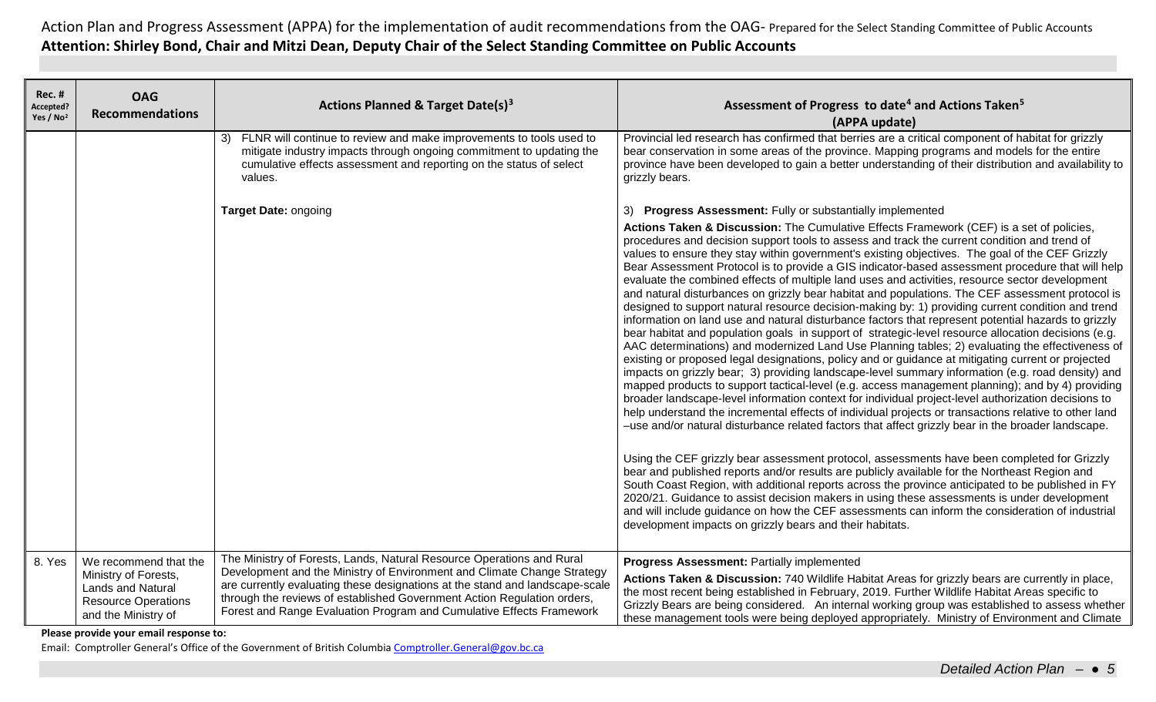| Rec.#<br>Accepted?<br>Yes / No <sup>2</sup> | <b>OAG</b><br><b>Recommendations</b>                                                                  | <b>Actions Planned &amp; Target Date(s)3</b>                                                                                                                                                                                                                                                               | Assessment of Progress to date <sup>4</sup> and Actions Taken <sup>5</sup><br>(APPA update)                                                                                                                                                                                                                                                                                                                                                                                                                                                                                                                                                                                                                                                                                                                                                                                                                                                                                                                                                                                                                                                                                                                                                                                                                                                                                                                                                                                                                                                                                                                                                                       |
|---------------------------------------------|-------------------------------------------------------------------------------------------------------|------------------------------------------------------------------------------------------------------------------------------------------------------------------------------------------------------------------------------------------------------------------------------------------------------------|-------------------------------------------------------------------------------------------------------------------------------------------------------------------------------------------------------------------------------------------------------------------------------------------------------------------------------------------------------------------------------------------------------------------------------------------------------------------------------------------------------------------------------------------------------------------------------------------------------------------------------------------------------------------------------------------------------------------------------------------------------------------------------------------------------------------------------------------------------------------------------------------------------------------------------------------------------------------------------------------------------------------------------------------------------------------------------------------------------------------------------------------------------------------------------------------------------------------------------------------------------------------------------------------------------------------------------------------------------------------------------------------------------------------------------------------------------------------------------------------------------------------------------------------------------------------------------------------------------------------------------------------------------------------|
|                                             |                                                                                                       | FLNR will continue to review and make improvements to tools used to<br>3)<br>mitigate industry impacts through ongoing commitment to updating the<br>cumulative effects assessment and reporting on the status of select<br>values.                                                                        | Provincial led research has confirmed that berries are a critical component of habitat for grizzly<br>bear conservation in some areas of the province. Mapping programs and models for the entire<br>province have been developed to gain a better understanding of their distribution and availability to<br>grizzly bears.                                                                                                                                                                                                                                                                                                                                                                                                                                                                                                                                                                                                                                                                                                                                                                                                                                                                                                                                                                                                                                                                                                                                                                                                                                                                                                                                      |
|                                             |                                                                                                       | Target Date: ongoing                                                                                                                                                                                                                                                                                       | <b>Progress Assessment: Fully or substantially implemented</b><br>3)                                                                                                                                                                                                                                                                                                                                                                                                                                                                                                                                                                                                                                                                                                                                                                                                                                                                                                                                                                                                                                                                                                                                                                                                                                                                                                                                                                                                                                                                                                                                                                                              |
|                                             |                                                                                                       |                                                                                                                                                                                                                                                                                                            | Actions Taken & Discussion: The Cumulative Effects Framework (CEF) is a set of policies,<br>procedures and decision support tools to assess and track the current condition and trend of<br>values to ensure they stay within government's existing objectives. The goal of the CEF Grizzly<br>Bear Assessment Protocol is to provide a GIS indicator-based assessment procedure that will help<br>evaluate the combined effects of multiple land uses and activities, resource sector development<br>and natural disturbances on grizzly bear habitat and populations. The CEF assessment protocol is<br>designed to support natural resource decision-making by: 1) providing current condition and trend<br>information on land use and natural disturbance factors that represent potential hazards to grizzly<br>bear habitat and population goals in support of strategic-level resource allocation decisions (e.g.<br>AAC determinations) and modernized Land Use Planning tables; 2) evaluating the effectiveness of<br>existing or proposed legal designations, policy and or guidance at mitigating current or projected<br>impacts on grizzly bear; 3) providing landscape-level summary information (e.g. road density) and<br>mapped products to support tactical-level (e.g. access management planning); and by 4) providing<br>broader landscape-level information context for individual project-level authorization decisions to<br>help understand the incremental effects of individual projects or transactions relative to other land<br>-use and/or natural disturbance related factors that affect grizzly bear in the broader landscape. |
|                                             |                                                                                                       |                                                                                                                                                                                                                                                                                                            | Using the CEF grizzly bear assessment protocol, assessments have been completed for Grizzly<br>bear and published reports and/or results are publicly available for the Northeast Region and<br>South Coast Region, with additional reports across the province anticipated to be published in FY<br>2020/21. Guidance to assist decision makers in using these assessments is under development<br>and will include guidance on how the CEF assessments can inform the consideration of industrial<br>development impacts on grizzly bears and their habitats.                                                                                                                                                                                                                                                                                                                                                                                                                                                                                                                                                                                                                                                                                                                                                                                                                                                                                                                                                                                                                                                                                                   |
| 8. Yes                                      | We recommend that the                                                                                 | The Ministry of Forests, Lands, Natural Resource Operations and Rural                                                                                                                                                                                                                                      | <b>Progress Assessment: Partially implemented</b>                                                                                                                                                                                                                                                                                                                                                                                                                                                                                                                                                                                                                                                                                                                                                                                                                                                                                                                                                                                                                                                                                                                                                                                                                                                                                                                                                                                                                                                                                                                                                                                                                 |
|                                             | Ministry of Forests,<br><b>Lands and Natural</b><br><b>Resource Operations</b><br>and the Ministry of | Development and the Ministry of Environment and Climate Change Strategy<br>are currently evaluating these designations at the stand and landscape-scale<br>through the reviews of established Government Action Regulation orders,<br>Forest and Range Evaluation Program and Cumulative Effects Framework | Actions Taken & Discussion: 740 Wildlife Habitat Areas for grizzly bears are currently in place,<br>the most recent being established in February, 2019. Further Wildlife Habitat Areas specific to<br>Grizzly Bears are being considered. An internal working group was established to assess whether<br>these management tools were being deployed appropriately. Ministry of Environment and Climate                                                                                                                                                                                                                                                                                                                                                                                                                                                                                                                                                                                                                                                                                                                                                                                                                                                                                                                                                                                                                                                                                                                                                                                                                                                           |

**Please provide your email response to:**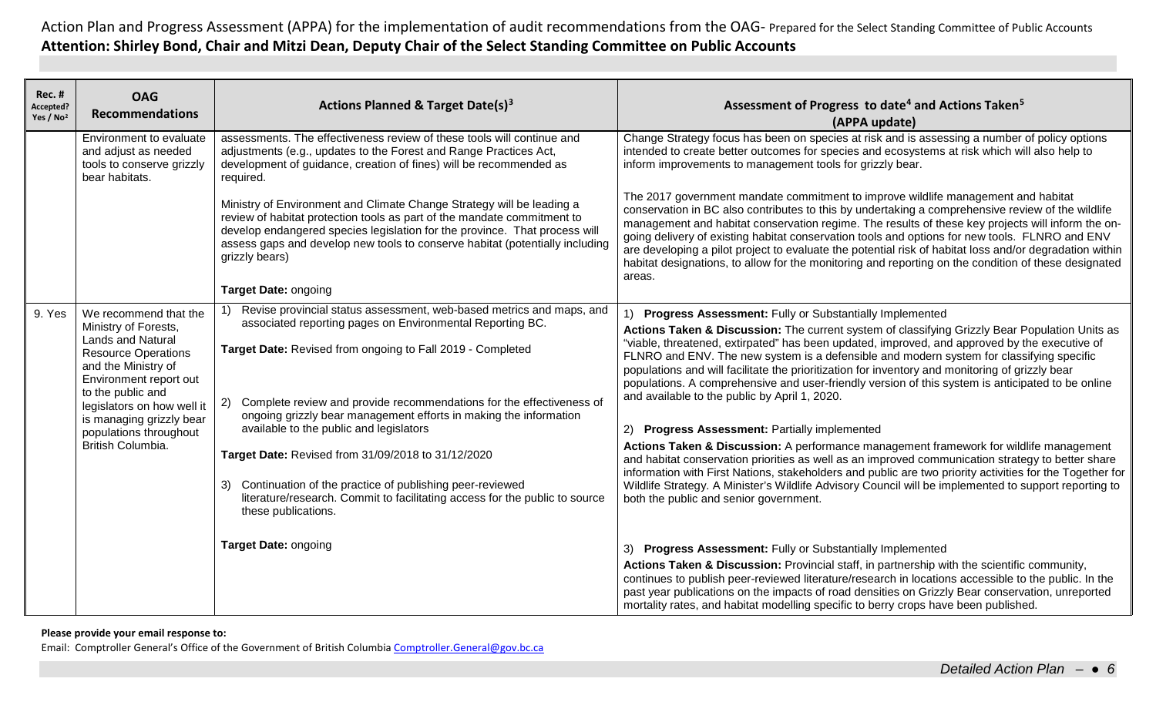| <b>Rec. #</b><br>Accepted?<br>Yes / No <sup>2</sup> | <b>OAG</b><br><b>Recommendations</b>                                                                                                                                                                                                                                                   | Actions Planned & Target Date(s) <sup>3</sup>                                                                                                                                                                                                                                                                                                                                                                                                                                                                                                                                                                                     | Assessment of Progress to date <sup>4</sup> and Actions Taken <sup>5</sup><br>(APPA update)                                                                                                                                                                                                                                                                                                                                                                                                                                                                                                                                                                                                                                                                                                                                                                                                                                                                                                                                                                                                                                    |
|-----------------------------------------------------|----------------------------------------------------------------------------------------------------------------------------------------------------------------------------------------------------------------------------------------------------------------------------------------|-----------------------------------------------------------------------------------------------------------------------------------------------------------------------------------------------------------------------------------------------------------------------------------------------------------------------------------------------------------------------------------------------------------------------------------------------------------------------------------------------------------------------------------------------------------------------------------------------------------------------------------|--------------------------------------------------------------------------------------------------------------------------------------------------------------------------------------------------------------------------------------------------------------------------------------------------------------------------------------------------------------------------------------------------------------------------------------------------------------------------------------------------------------------------------------------------------------------------------------------------------------------------------------------------------------------------------------------------------------------------------------------------------------------------------------------------------------------------------------------------------------------------------------------------------------------------------------------------------------------------------------------------------------------------------------------------------------------------------------------------------------------------------|
|                                                     | Environment to evaluate<br>and adjust as needed<br>tools to conserve grizzly<br>bear habitats.                                                                                                                                                                                         | assessments. The effectiveness review of these tools will continue and<br>adjustments (e.g., updates to the Forest and Range Practices Act,<br>development of guidance, creation of fines) will be recommended as<br>required.                                                                                                                                                                                                                                                                                                                                                                                                    | Change Strategy focus has been on species at risk and is assessing a number of policy options<br>intended to create better outcomes for species and ecosystems at risk which will also help to<br>inform improvements to management tools for grizzly bear.                                                                                                                                                                                                                                                                                                                                                                                                                                                                                                                                                                                                                                                                                                                                                                                                                                                                    |
|                                                     |                                                                                                                                                                                                                                                                                        | Ministry of Environment and Climate Change Strategy will be leading a<br>review of habitat protection tools as part of the mandate commitment to<br>develop endangered species legislation for the province. That process will<br>assess gaps and develop new tools to conserve habitat (potentially including<br>grizzly bears)<br><b>Target Date: ongoing</b>                                                                                                                                                                                                                                                                   | The 2017 government mandate commitment to improve wildlife management and habitat<br>conservation in BC also contributes to this by undertaking a comprehensive review of the wildlife<br>management and habitat conservation regime. The results of these key projects will inform the on-<br>going delivery of existing habitat conservation tools and options for new tools. FLNRO and ENV<br>are developing a pilot project to evaluate the potential risk of habitat loss and/or degradation within<br>habitat designations, to allow for the monitoring and reporting on the condition of these designated<br>areas.                                                                                                                                                                                                                                                                                                                                                                                                                                                                                                     |
|                                                     |                                                                                                                                                                                                                                                                                        |                                                                                                                                                                                                                                                                                                                                                                                                                                                                                                                                                                                                                                   |                                                                                                                                                                                                                                                                                                                                                                                                                                                                                                                                                                                                                                                                                                                                                                                                                                                                                                                                                                                                                                                                                                                                |
| 9. Yes                                              | We recommend that the<br>Ministry of Forests,<br><b>Lands and Natural</b><br><b>Resource Operations</b><br>and the Ministry of<br>Environment report out<br>to the public and<br>legislators on how well it<br>is managing grizzly bear<br>populations throughout<br>British Columbia. | Revise provincial status assessment, web-based metrics and maps, and<br>1)<br>associated reporting pages on Environmental Reporting BC.<br>Target Date: Revised from ongoing to Fall 2019 - Completed<br>Complete review and provide recommendations for the effectiveness of<br>2)<br>ongoing grizzly bear management efforts in making the information<br>available to the public and legislators<br>Target Date: Revised from 31/09/2018 to 31/12/2020<br>Continuation of the practice of publishing peer-reviewed<br>3)<br>literature/research. Commit to facilitating access for the public to source<br>these publications. | Progress Assessment: Fully or Substantially Implemented<br>Actions Taken & Discussion: The current system of classifying Grizzly Bear Population Units as<br>"viable, threatened, extirpated" has been updated, improved, and approved by the executive of<br>FLNRO and ENV. The new system is a defensible and modern system for classifying specific<br>populations and will facilitate the prioritization for inventory and monitoring of grizzly bear<br>populations. A comprehensive and user-friendly version of this system is anticipated to be online<br>and available to the public by April 1, 2020.<br>2) Progress Assessment: Partially implemented<br>Actions Taken & Discussion: A performance management framework for wildlife management<br>and habitat conservation priorities as well as an improved communication strategy to better share<br>information with First Nations, stakeholders and public are two priority activities for the Together for<br>Wildlife Strategy. A Minister's Wildlife Advisory Council will be implemented to support reporting to<br>both the public and senior government. |
|                                                     |                                                                                                                                                                                                                                                                                        | <b>Target Date: ongoing</b>                                                                                                                                                                                                                                                                                                                                                                                                                                                                                                                                                                                                       | 3) Progress Assessment: Fully or Substantially Implemented                                                                                                                                                                                                                                                                                                                                                                                                                                                                                                                                                                                                                                                                                                                                                                                                                                                                                                                                                                                                                                                                     |
|                                                     |                                                                                                                                                                                                                                                                                        |                                                                                                                                                                                                                                                                                                                                                                                                                                                                                                                                                                                                                                   | Actions Taken & Discussion: Provincial staff, in partnership with the scientific community,<br>continues to publish peer-reviewed literature/research in locations accessible to the public. In the<br>past year publications on the impacts of road densities on Grizzly Bear conservation, unreported<br>mortality rates, and habitat modelling specific to berry crops have been published.                                                                                                                                                                                                                                                                                                                                                                                                                                                                                                                                                                                                                                                                                                                                 |

## **Please provide your email response to:**